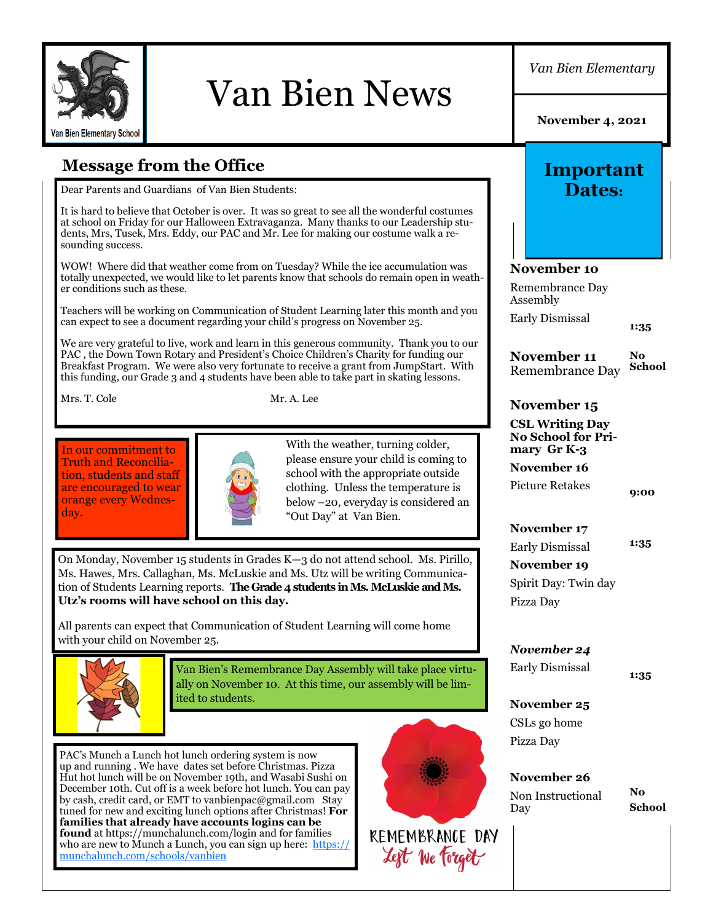

# Van Bien News

*Van Bien Elementary*

**November 4, 2021**

**Important Dates:**

**Message from the Office**

Dear Parents and Guardians of Van Bien Students:

It is hard to believe that October is over. It was so great to see all the wonderful costumes at school on Friday for our Halloween Extravaganza. Many thanks to our Leadership students, Mrs, Tusek, Mrs. Eddy, our PAC and Mr. Lee for making our costume walk a resounding success.

WOW! Where did that weather come from on Tuesday? While the ice accumulation was totally unexpected, we would like to let parents know that schools do remain open in weather conditions such as these.

Teachers will be working on Communication of Student Learning later this month and you can expect to see a document regarding your child's progress on November 25.

We are very grateful to live, work and learn in this generous community. Thank you to our PAC , the Down Town Rotary and President's Choice Children's Charity for funding our Breakfast Program. We were also very fortunate to receive a grant from JumpStart. With this funding, our Grade 3 and 4 students have been able to take part in skating lessons.

Mrs. T. Cole Mr. A. Lee

In our commitment to Truth and Reconciliation, students and staff are encouraged to wear orange every Wednesday.



With the weather, turning colder, please ensure your child is coming to school with the appropriate outside clothing. Unless the temperature is below –20, everyday is considered an "Out Day" at Van Bien.

On Monday, November 15 students in Grades K—3 do not attend school. Ms. Pirillo, Ms. Hawes, Mrs. Callaghan, Ms. McLuskie and Ms. Utz will be writing Communication of Students Learning reports. **The Grade 4 students in Ms. McLuskie and Ms. Utz's rooms will have school on this day.** 

All parents can expect that Communication of Student Learning will come home with your child on November 25.



Van Bien's Remembrance Day Assembly will take place virtually on November 10. At this time, our assembly will be limited to students.

PAC's Munch a Lunch hot lunch ordering system is now up and running . We have dates set before Christmas. Pizza Hut hot lunch will be on November 19th, and Wasabi Sushi on December 10th. Cut off is a week before hot lunch. You can pay by cash, credit card, or EMT to vanbienpac@gmail.com Stay tuned for new and exciting lunch options after Christmas! **For families that already have accounts logins can be found** at https://munchalunch.com/login and for families who are new to Munch a Lunch, you can sign up here: [https://](https://munchalunch.com/schools/vanbien) [munchalunch.com/schools/vanbien](https://munchalunch.com/schools/vanbien)



**November 1o** Remembrance Day Assembly Early Dismissal

**1:35**

**November 11**  Remembrance Day **No School**

#### **November 15**

**CSL Writing Day No School for Primary Gr K-3 November 16**

Picture Retakes

**9:00**

**November 17** Early Dismissal

**1:35**

**November 19** Spirit Day: Twin day Pizza Day

*November 24*

Early Dismissal

**1:35**

**November 25** CSLs go home Pizza Day

**November 26**  Non Instructional Day

**No School**